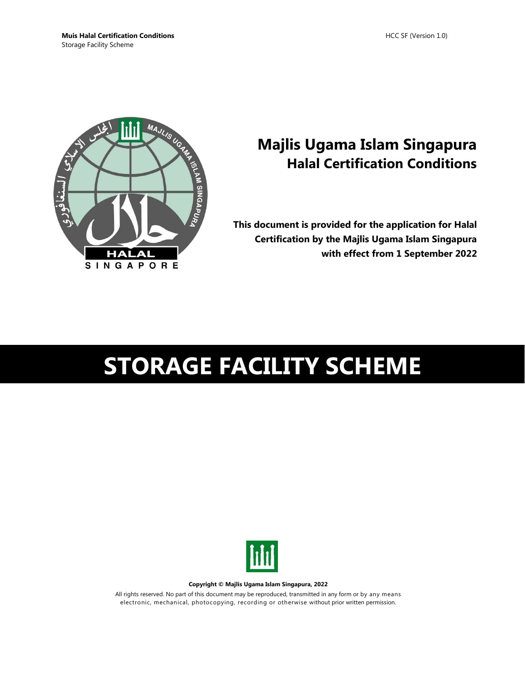

# **Majlis Ugama Islam Singapura Halal Certification Conditions**

**This document is provided for the application for Halal Certification by the Majlis Ugama Islam Singapura with effect from 1 September 2022**

# **STORAGE FACILITY SCHEME**



**Copyright © Majlis Ugama Islam Singapura, 2022**

All rights reserved. No part of this document may be reproduced, transmitted in any form or by any means electronic, mechanical, photocopying, recording or otherwise without prior written permission.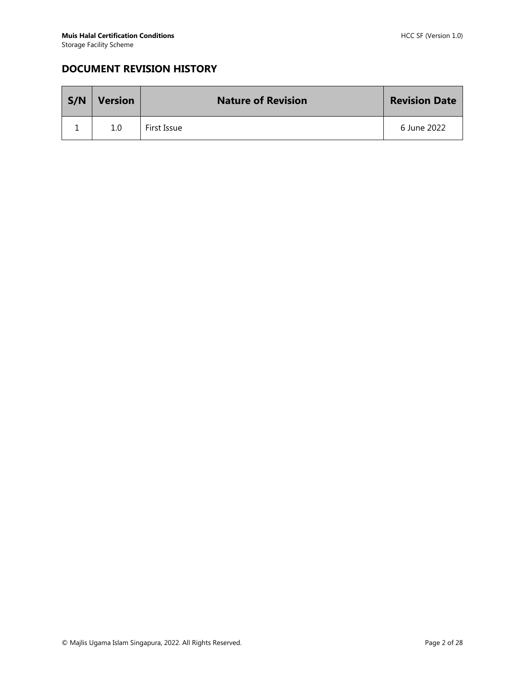# **DOCUMENT REVISION HISTORY**

| S/N | <b>Version</b> | <b>Nature of Revision</b> | <b>Revision Date</b> |
|-----|----------------|---------------------------|----------------------|
|     | 1.0            | First Issue               | 6 June 2022          |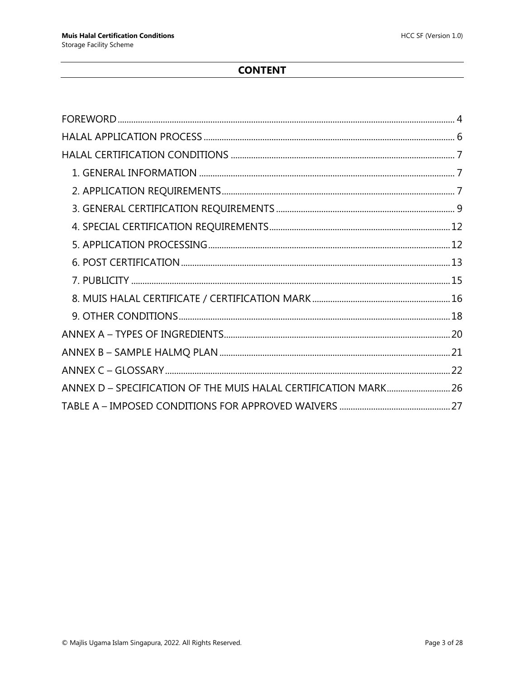# **CONTENT**

| ANNEX D - SPECIFICATION OF THE MUIS HALAL CERTIFICATION MARK 26 |  |
|-----------------------------------------------------------------|--|
|                                                                 |  |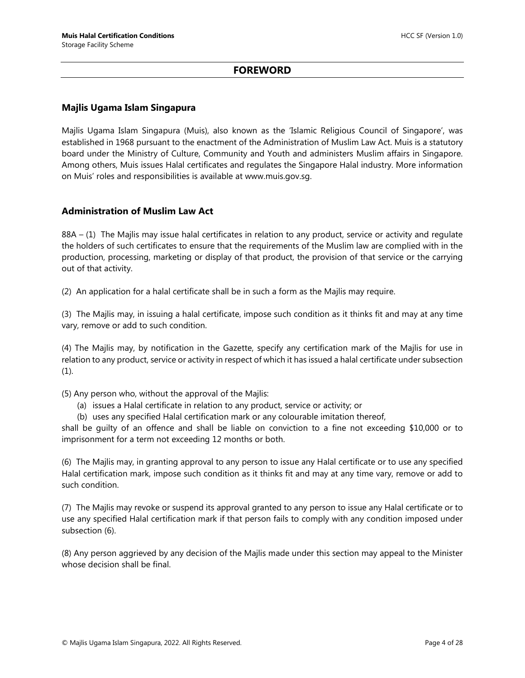#### **FOREWORD**

#### <span id="page-3-0"></span>**Majlis Ugama Islam Singapura**

Majlis Ugama Islam Singapura (Muis), also known as the 'Islamic Religious Council of Singapore', was established in 1968 pursuant to the enactment of the Administration of Muslim Law Act. Muis is a statutory board under the Ministry of Culture, Community and Youth and administers Muslim affairs in Singapore. Among others, Muis issues Halal certificates and regulates the Singapore Halal industry. More information on Muis' roles and responsibilities is available at www.muis.gov.sg.

#### **Administration of Muslim Law Act**

88A – (1) The Majlis may issue halal certificates in relation to any product, service or activity and regulate the holders of such certificates to ensure that the requirements of the Muslim law are complied with in the production, processing, marketing or display of that product, the provision of that service or the carrying out of that activity.

(2) An application for a halal certificate shall be in such a form as the Majlis may require.

(3) The Majlis may, in issuing a halal certificate, impose such condition as it thinks fit and may at any time vary, remove or add to such condition.

(4) The Majlis may, by notification in the Gazette, specify any certification mark of the Majlis for use in relation to any product, service or activity in respect of which it has issued a halal certificate under subsection  $(1).$ 

(5) Any person who, without the approval of the Majlis:

- (a) issues a Halal certificate in relation to any product, service or activity; or
- (b) uses any specified Halal certification mark or any colourable imitation thereof,

shall be guilty of an offence and shall be liable on conviction to a fine not exceeding \$10,000 or to imprisonment for a term not exceeding 12 months or both.

(6) The Majlis may, in granting approval to any person to issue any Halal certificate or to use any specified Halal certification mark, impose such condition as it thinks fit and may at any time vary, remove or add to such condition.

(7) The Majlis may revoke or suspend its approval granted to any person to issue any Halal certificate or to use any specified Halal certification mark if that person fails to comply with any condition imposed under subsection (6).

(8) Any person aggrieved by any decision of the Majlis made under this section may appeal to the Minister whose decision shall be final.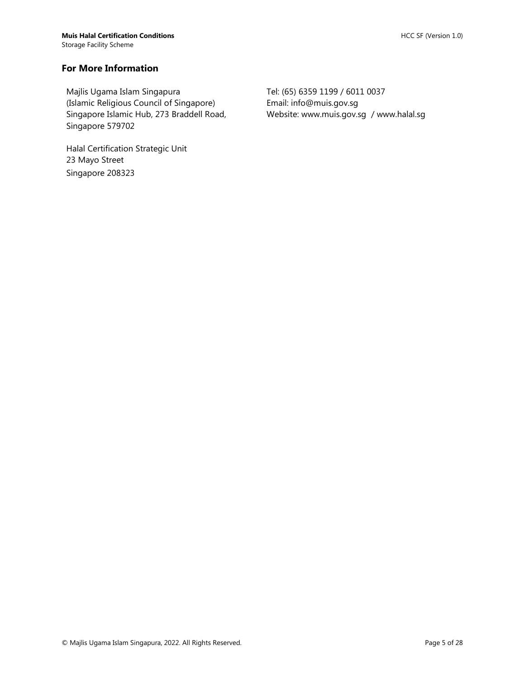#### **For More Information**

Majlis Ugama Islam Singapura (Islamic Religious Council of Singapore) Singapore Islamic Hub, 273 Braddell Road, Singapore 579702

Halal Certification Strategic Unit 23 Mayo Street Singapore 208323

Tel: (65) 6359 1199 / 6011 0037 Email: info@muis.gov.sg Website: www.muis.gov.sg / www.halal.sg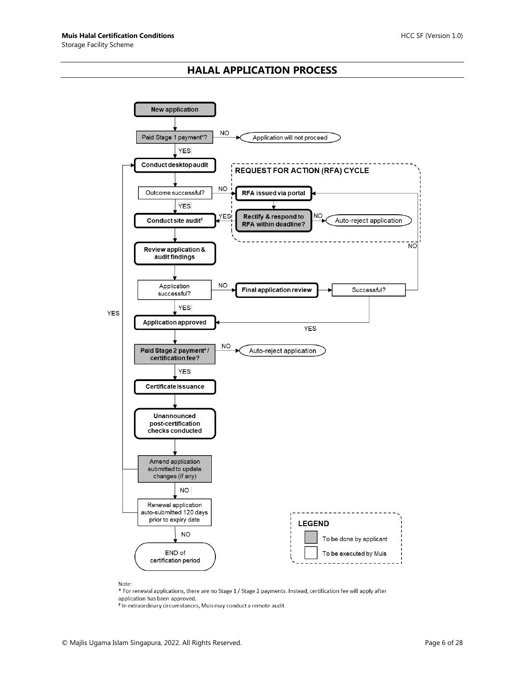#### **HALAL APPLICATION PROCESS**

<span id="page-5-0"></span>

Note:

 $*$  For renewal applications, there are no Stage  $1/$  Stage 2 payments. Instead, certification fee will apply after application has been approved.

# In extraordinary circumstances, Muis may conduct a remote audit.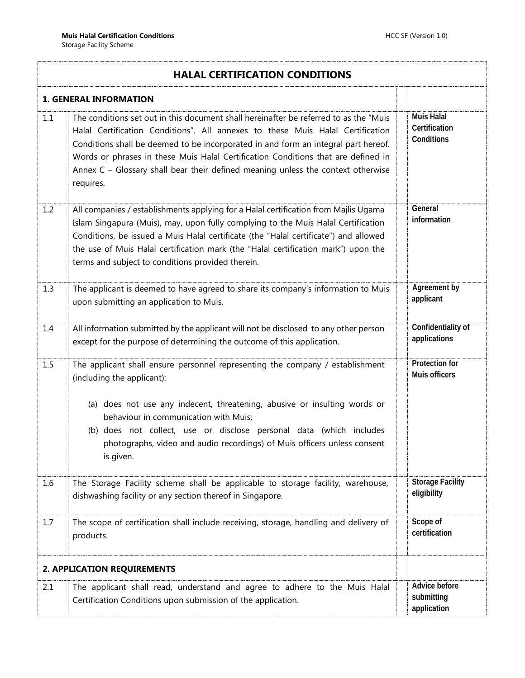<span id="page-6-2"></span><span id="page-6-1"></span><span id="page-6-0"></span>

|     | <b>HALAL CERTIFICATION CONDITIONS</b>                                                                                                                                                                                                                                                                                                                                                                                                                |  |                                                  |  |  |
|-----|------------------------------------------------------------------------------------------------------------------------------------------------------------------------------------------------------------------------------------------------------------------------------------------------------------------------------------------------------------------------------------------------------------------------------------------------------|--|--------------------------------------------------|--|--|
|     | <b>1. GENERAL INFORMATION</b>                                                                                                                                                                                                                                                                                                                                                                                                                        |  |                                                  |  |  |
| 1.1 | The conditions set out in this document shall hereinafter be referred to as the "Muis"<br>Halal Certification Conditions". All annexes to these Muis Halal Certification<br>Conditions shall be deemed to be incorporated in and form an integral part hereof.<br>Words or phrases in these Muis Halal Certification Conditions that are defined in<br>Annex C - Glossary shall bear their defined meaning unless the context otherwise<br>requires. |  | <b>Muis Halal</b><br>Certification<br>Conditions |  |  |
| 1.2 | All companies / establishments applying for a Halal certification from Majlis Ugama<br>Islam Singapura (Muis), may, upon fully complying to the Muis Halal Certification<br>Conditions, be issued a Muis Halal certificate (the "Halal certificate") and allowed<br>the use of Muis Halal certification mark (the "Halal certification mark") upon the<br>terms and subject to conditions provided therein.                                          |  | General<br>information                           |  |  |
| 1.3 | The applicant is deemed to have agreed to share its company's information to Muis<br>upon submitting an application to Muis.                                                                                                                                                                                                                                                                                                                         |  | Agreement by<br>applicant                        |  |  |
| 1.4 | All information submitted by the applicant will not be disclosed to any other person<br>except for the purpose of determining the outcome of this application.                                                                                                                                                                                                                                                                                       |  | Confidentiality of<br>applications               |  |  |
| 1.5 | The applicant shall ensure personnel representing the company / establishment<br>(including the applicant):                                                                                                                                                                                                                                                                                                                                          |  | Protection for<br>Muis officers                  |  |  |
|     | (a) does not use any indecent, threatening, abusive or insulting words or<br>behaviour in communication with Muis;<br>(b) does not collect, use or disclose personal data (which includes<br>photographs, video and audio recordings) of Muis officers unless consent<br>is given.                                                                                                                                                                   |  |                                                  |  |  |
| 1.6 | The Storage Facility scheme shall be applicable to storage facility, warehouse,<br>dishwashing facility or any section thereof in Singapore.                                                                                                                                                                                                                                                                                                         |  | <b>Storage Facility</b><br>eligibility           |  |  |
| 1.7 | The scope of certification shall include receiving, storage, handling and delivery of<br>products.                                                                                                                                                                                                                                                                                                                                                   |  | Scope of<br>certification                        |  |  |
|     | <b>2. APPLICATION REQUIREMENTS</b>                                                                                                                                                                                                                                                                                                                                                                                                                   |  |                                                  |  |  |
| 2.1 | The applicant shall read, understand and agree to adhere to the Muis Halal<br>Certification Conditions upon submission of the application.                                                                                                                                                                                                                                                                                                           |  | Advice before<br>submitting<br>application       |  |  |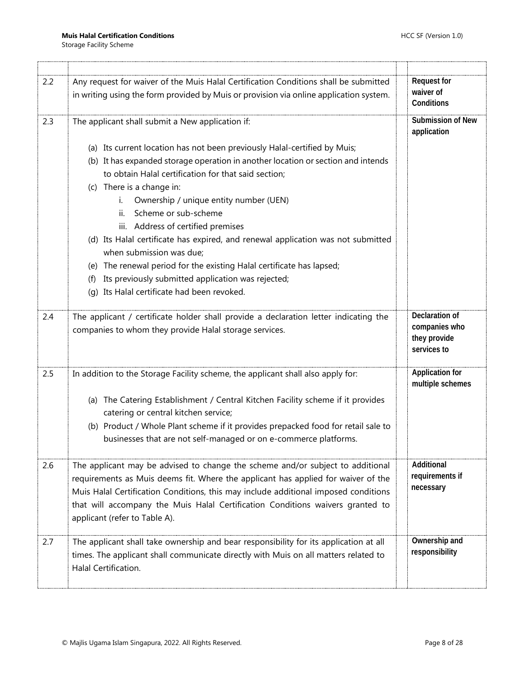| 2.2 | Any request for waiver of the Muis Halal Certification Conditions shall be submitted                                                                                | <b>Request for</b>                                             |
|-----|---------------------------------------------------------------------------------------------------------------------------------------------------------------------|----------------------------------------------------------------|
|     | in writing using the form provided by Muis or provision via online application system.                                                                              | waiver of<br>Conditions                                        |
| 2.3 | The applicant shall submit a New application if:                                                                                                                    | Submission of New<br>application                               |
|     | (a) Its current location has not been previously Halal-certified by Muis;                                                                                           |                                                                |
|     | (b) It has expanded storage operation in another location or section and intends                                                                                    |                                                                |
|     | to obtain Halal certification for that said section;                                                                                                                |                                                                |
|     | (c) There is a change in:                                                                                                                                           |                                                                |
|     | Ownership / unique entity number (UEN)<br>i.                                                                                                                        |                                                                |
|     | Scheme or sub-scheme<br>ii.                                                                                                                                         |                                                                |
|     | iii. Address of certified premises                                                                                                                                  |                                                                |
|     | (d) Its Halal certificate has expired, and renewal application was not submitted<br>when submission was due;                                                        |                                                                |
|     | (e) The renewal period for the existing Halal certificate has lapsed;                                                                                               |                                                                |
|     | Its previously submitted application was rejected;<br>(f)                                                                                                           |                                                                |
|     | Its Halal certificate had been revoked.<br>(a)                                                                                                                      |                                                                |
|     |                                                                                                                                                                     |                                                                |
| 2.4 | The applicant / certificate holder shall provide a declaration letter indicating the<br>companies to whom they provide Halal storage services.                      | Declaration of<br>companies who<br>they provide<br>services to |
| 2.5 | In addition to the Storage Facility scheme, the applicant shall also apply for:                                                                                     | <b>Application for</b><br>multiple schemes                     |
|     | (a) The Catering Establishment / Central Kitchen Facility scheme if it provides<br>catering or central kitchen service;                                             |                                                                |
|     | (b) Product / Whole Plant scheme if it provides prepacked food for retail sale to<br>businesses that are not self-managed or on e-commerce platforms.               |                                                                |
| 2.6 | The applicant may be advised to change the scheme and/or subject to additional<br>requirements as Muis deems fit. Where the applicant has applied for waiver of the | Additional<br>requirements if                                  |
|     | Muis Halal Certification Conditions, this may include additional imposed conditions                                                                                 | necessary                                                      |
|     | that will accompany the Muis Halal Certification Conditions waivers granted to<br>applicant (refer to Table A).                                                     |                                                                |
| 2.7 | The applicant shall take ownership and bear responsibility for its application at all                                                                               | Ownership and                                                  |
|     | times. The applicant shall communicate directly with Muis on all matters related to<br>Halal Certification.                                                         | responsibility                                                 |
|     |                                                                                                                                                                     |                                                                |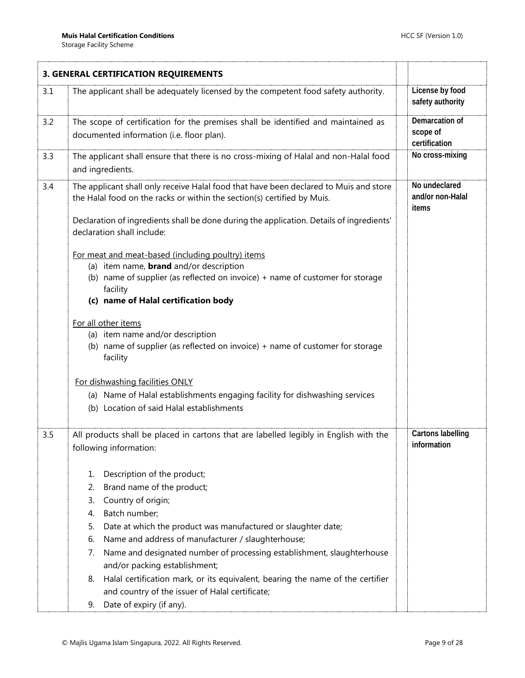<span id="page-8-0"></span>

|     | 3. GENERAL CERTIFICATION REQUIREMENTS                                                                                                                            |                                             |
|-----|------------------------------------------------------------------------------------------------------------------------------------------------------------------|---------------------------------------------|
| 3.1 | The applicant shall be adequately licensed by the competent food safety authority.                                                                               | License by food<br>safety authority         |
| 3.2 | The scope of certification for the premises shall be identified and maintained as<br>documented information (i.e. floor plan).                                   | Demarcation of<br>scope of<br>certification |
| 3.3 | The applicant shall ensure that there is no cross-mixing of Halal and non-Halal food<br>and ingredients.                                                         | No cross-mixing                             |
| 3.4 | The applicant shall only receive Halal food that have been declared to Muis and store<br>the Halal food on the racks or within the section(s) certified by Muis. | No undeclared<br>and/or non-Halal<br>items  |
|     | Declaration of ingredients shall be done during the application. Details of ingredients'<br>declaration shall include:                                           |                                             |
|     | For meat and meat-based (including poultry) items                                                                                                                |                                             |
|     | (a) item name, <b>brand</b> and/or description                                                                                                                   |                                             |
|     | (b) name of supplier (as reflected on invoice) + name of customer for storage<br>facility                                                                        |                                             |
|     | (c) name of Halal certification body                                                                                                                             |                                             |
|     | For all other items                                                                                                                                              |                                             |
|     | (a) item name and/or description                                                                                                                                 |                                             |
|     | (b) name of supplier (as reflected on invoice) + name of customer for storage<br>facility                                                                        |                                             |
|     | For dishwashing facilities ONLY                                                                                                                                  |                                             |
|     | (a) Name of Halal establishments engaging facility for dishwashing services                                                                                      |                                             |
|     | (b) Location of said Halal establishments                                                                                                                        |                                             |
| 3.5 | All products shall be placed in cartons that are labelled legibly in English with the<br>following information:                                                  | <b>Cartons labelling</b><br>information     |
|     | Description of the product;<br>1.                                                                                                                                |                                             |
|     | Brand name of the product;<br>2.                                                                                                                                 |                                             |
|     | Country of origin;<br>3.                                                                                                                                         |                                             |
|     | Batch number;<br>4.                                                                                                                                              |                                             |
|     | Date at which the product was manufactured or slaughter date;<br>5.                                                                                              |                                             |
|     | Name and address of manufacturer / slaughterhouse;<br>6.                                                                                                         |                                             |
|     | Name and designated number of processing establishment, slaughterhouse<br>7.<br>and/or packing establishment;                                                    |                                             |
|     | Halal certification mark, or its equivalent, bearing the name of the certifier<br>8.                                                                             |                                             |
|     | and country of the issuer of Halal certificate;                                                                                                                  |                                             |
|     | Date of expiry (if any).<br>9.                                                                                                                                   |                                             |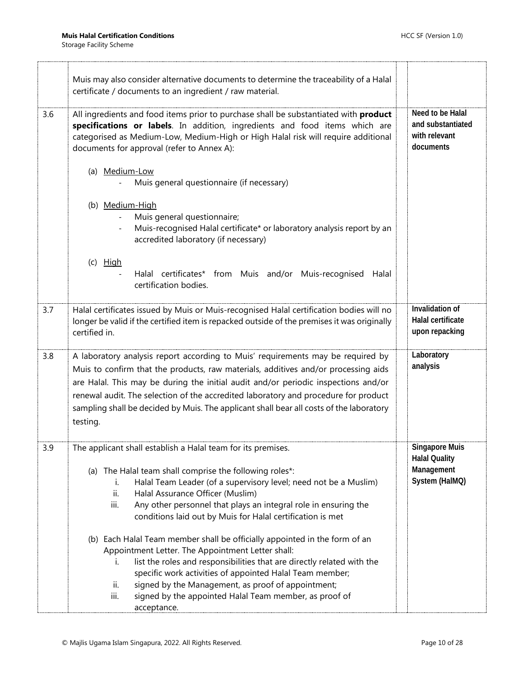|     | Muis may also consider alternative documents to determine the traceability of a Halal<br>certificate / documents to an ingredient / raw material.                                                                                                                                                                                                                                                                                                         |                                                                               |
|-----|-----------------------------------------------------------------------------------------------------------------------------------------------------------------------------------------------------------------------------------------------------------------------------------------------------------------------------------------------------------------------------------------------------------------------------------------------------------|-------------------------------------------------------------------------------|
| 3.6 | All ingredients and food items prior to purchase shall be substantiated with product<br>specifications or labels. In addition, ingredients and food items which are<br>categorised as Medium-Low, Medium-High or High Halal risk will require additional<br>documents for approval (refer to Annex A):                                                                                                                                                    | Need to be Halal<br>and substantiated<br>with relevant<br>documents           |
|     | (a) Medium-Low<br>Muis general questionnaire (if necessary)                                                                                                                                                                                                                                                                                                                                                                                               |                                                                               |
|     | (b) Medium-High<br>Muis general questionnaire;<br>Muis-recognised Halal certificate* or laboratory analysis report by an<br>accredited laboratory (if necessary)                                                                                                                                                                                                                                                                                          |                                                                               |
|     | $(c)$ High<br>Halal certificates* from Muis and/or Muis-recognised<br>Halal<br>certification bodies.                                                                                                                                                                                                                                                                                                                                                      |                                                                               |
| 3.7 | Halal certificates issued by Muis or Muis-recognised Halal certification bodies will no<br>longer be valid if the certified item is repacked outside of the premises it was originally<br>certified in.                                                                                                                                                                                                                                                   | Invalidation of<br>Halal certificate<br>upon repacking                        |
| 3.8 | A laboratory analysis report according to Muis' requirements may be required by<br>Muis to confirm that the products, raw materials, additives and/or processing aids<br>are Halal. This may be during the initial audit and/or periodic inspections and/or<br>renewal audit. The selection of the accredited laboratory and procedure for product<br>sampling shall be decided by Muis. The applicant shall bear all costs of the laboratory<br>testing. | Laboratory<br>analysis                                                        |
| 3.9 | The applicant shall establish a Halal team for its premises.<br>(a) The Halal team shall comprise the following roles*:<br>Halal Team Leader (of a supervisory level; need not be a Muslim)<br>i.<br>Halal Assurance Officer (Muslim)<br>ii.<br>Any other personnel that plays an integral role in ensuring the<br>iii.<br>conditions laid out by Muis for Halal certification is met                                                                     | <b>Singapore Muis</b><br><b>Halal Quality</b><br>Management<br>System (HalMQ) |
|     | (b) Each Halal Team member shall be officially appointed in the form of an<br>Appointment Letter. The Appointment Letter shall:<br>list the roles and responsibilities that are directly related with the<br>i.<br>specific work activities of appointed Halal Team member;<br>signed by the Management, as proof of appointment;<br>ii.<br>signed by the appointed Halal Team member, as proof of<br>iii.                                                |                                                                               |
|     | acceptance.                                                                                                                                                                                                                                                                                                                                                                                                                                               |                                                                               |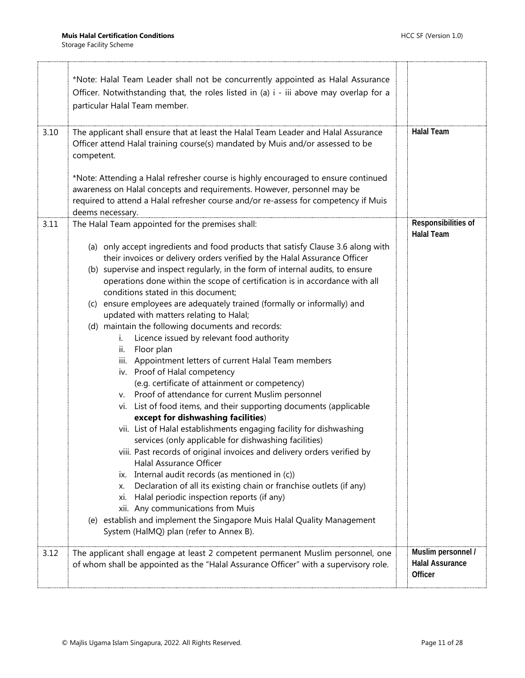$\ddot{\phantom{a}}$ 

H,

|      | *Note: Halal Team Leader shall not be concurrently appointed as Halal Assurance<br>Officer. Notwithstanding that, the roles listed in (a) i - iii above may overlap for a<br>particular Halal Team member.                                                                                                                                                                                                                                                                                                                                                                                                                                                                                                                                                                                                                                                                                                                                                                                                                                                                                                                                                                                                                                                                                                                                                                                                                                                                                         |                                                         |
|------|----------------------------------------------------------------------------------------------------------------------------------------------------------------------------------------------------------------------------------------------------------------------------------------------------------------------------------------------------------------------------------------------------------------------------------------------------------------------------------------------------------------------------------------------------------------------------------------------------------------------------------------------------------------------------------------------------------------------------------------------------------------------------------------------------------------------------------------------------------------------------------------------------------------------------------------------------------------------------------------------------------------------------------------------------------------------------------------------------------------------------------------------------------------------------------------------------------------------------------------------------------------------------------------------------------------------------------------------------------------------------------------------------------------------------------------------------------------------------------------------------|---------------------------------------------------------|
| 3.10 | The applicant shall ensure that at least the Halal Team Leader and Halal Assurance<br>Officer attend Halal training course(s) mandated by Muis and/or assessed to be<br>competent.                                                                                                                                                                                                                                                                                                                                                                                                                                                                                                                                                                                                                                                                                                                                                                                                                                                                                                                                                                                                                                                                                                                                                                                                                                                                                                                 | <b>Halal Team</b>                                       |
|      | *Note: Attending a Halal refresher course is highly encouraged to ensure continued<br>awareness on Halal concepts and requirements. However, personnel may be<br>required to attend a Halal refresher course and/or re-assess for competency if Muis<br>deems necessary.                                                                                                                                                                                                                                                                                                                                                                                                                                                                                                                                                                                                                                                                                                                                                                                                                                                                                                                                                                                                                                                                                                                                                                                                                           |                                                         |
| 3.11 | The Halal Team appointed for the premises shall:                                                                                                                                                                                                                                                                                                                                                                                                                                                                                                                                                                                                                                                                                                                                                                                                                                                                                                                                                                                                                                                                                                                                                                                                                                                                                                                                                                                                                                                   | Responsibilities of<br><b>Halal Team</b>                |
|      | (a) only accept ingredients and food products that satisfy Clause 3.6 along with<br>their invoices or delivery orders verified by the Halal Assurance Officer<br>(b) supervise and inspect regularly, in the form of internal audits, to ensure<br>operations done within the scope of certification is in accordance with all<br>conditions stated in this document;<br>(c) ensure employees are adequately trained (formally or informally) and<br>updated with matters relating to Halal;<br>(d) maintain the following documents and records:<br>Licence issued by relevant food authority<br>İ.<br>Floor plan<br>ii.<br>Appointment letters of current Halal Team members<br>iii.<br>iv. Proof of Halal competency<br>(e.g. certificate of attainment or competency)<br>Proof of attendance for current Muslim personnel<br>v.<br>vi. List of food items, and their supporting documents (applicable<br>except for dishwashing facilities)<br>vii. List of Halal establishments engaging facility for dishwashing<br>services (only applicable for dishwashing facilities)<br>viii. Past records of original invoices and delivery orders verified by<br><b>Halal Assurance Officer</b><br>ix. Internal audit records (as mentioned in (c))<br>Declaration of all its existing chain or franchise outlets (if any)<br>х.<br>Halal periodic inspection reports (if any)<br>Xİ.<br>xii. Any communications from Muis<br>(e) establish and implement the Singapore Muis Halal Quality Management |                                                         |
|      | System (HalMQ) plan (refer to Annex B).                                                                                                                                                                                                                                                                                                                                                                                                                                                                                                                                                                                                                                                                                                                                                                                                                                                                                                                                                                                                                                                                                                                                                                                                                                                                                                                                                                                                                                                            |                                                         |
| 3.12 | The applicant shall engage at least 2 competent permanent Muslim personnel, one<br>of whom shall be appointed as the "Halal Assurance Officer" with a supervisory role.                                                                                                                                                                                                                                                                                                                                                                                                                                                                                                                                                                                                                                                                                                                                                                                                                                                                                                                                                                                                                                                                                                                                                                                                                                                                                                                            | Muslim personnel /<br><b>Halal Assurance</b><br>Officer |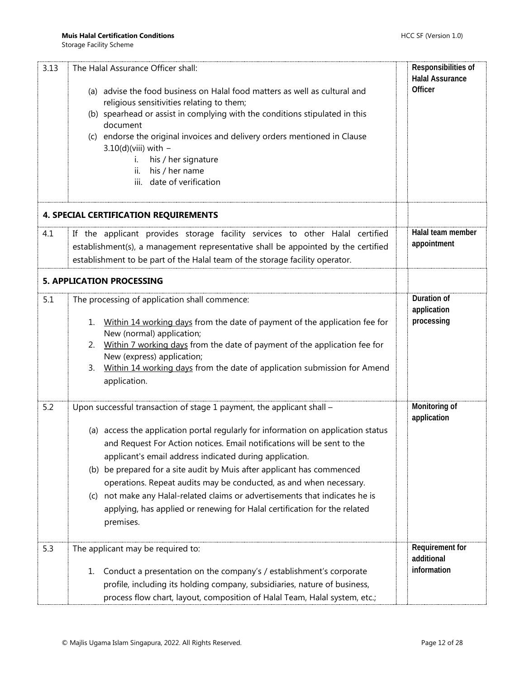<span id="page-11-1"></span><span id="page-11-0"></span>

| 3.13 | The Halal Assurance Officer shall:<br>(a) advise the food business on Halal food matters as well as cultural and<br>religious sensitivities relating to them;<br>(b) spearhead or assist in complying with the conditions stipulated in this<br>document<br>(c) endorse the original invoices and delivery orders mentioned in Clause<br>$3.10(d)$ (viii) with $-$<br>his / her signature<br>İ.<br>his / her name<br>ii.<br>date of verification<br>iii.                                                                                                                                                                   | Responsibilities of<br><b>Halal Assurance</b><br>Officer |
|------|----------------------------------------------------------------------------------------------------------------------------------------------------------------------------------------------------------------------------------------------------------------------------------------------------------------------------------------------------------------------------------------------------------------------------------------------------------------------------------------------------------------------------------------------------------------------------------------------------------------------------|----------------------------------------------------------|
|      | <b>4. SPECIAL CERTIFICATION REQUIREMENTS</b>                                                                                                                                                                                                                                                                                                                                                                                                                                                                                                                                                                               |                                                          |
| 4.1  | If the applicant provides storage facility services to other Halal certified<br>establishment(s), a management representative shall be appointed by the certified<br>establishment to be part of the Halal team of the storage facility operator.                                                                                                                                                                                                                                                                                                                                                                          | Halal team member<br>appointment                         |
|      | <b>5. APPLICATION PROCESSING</b>                                                                                                                                                                                                                                                                                                                                                                                                                                                                                                                                                                                           |                                                          |
| 5.1  | The processing of application shall commence:<br>Within 14 working days from the date of payment of the application fee for<br>1.<br>New (normal) application;<br>Within 7 working days from the date of payment of the application fee for<br>2.<br>New (express) application;<br>Within 14 working days from the date of application submission for Amend<br>3.<br>application.                                                                                                                                                                                                                                          | Duration of<br>application<br>processing                 |
| 5.2  | Upon successful transaction of stage 1 payment, the applicant shall -<br>(a) access the application portal regularly for information on application status<br>and Request For Action notices. Email notifications will be sent to the<br>applicant's email address indicated during application.<br>(b) be prepared for a site audit by Muis after applicant has commenced<br>operations. Repeat audits may be conducted, as and when necessary.<br>(c) not make any Halal-related claims or advertisements that indicates he is<br>applying, has applied or renewing for Halal certification for the related<br>premises. | Monitoring of<br>application                             |
| 5.3  | The applicant may be required to:<br>Conduct a presentation on the company's / establishment's corporate<br>1.<br>profile, including its holding company, subsidiaries, nature of business,<br>process flow chart, layout, composition of Halal Team, Halal system, etc.;                                                                                                                                                                                                                                                                                                                                                  | Requirement for<br>additional<br>information             |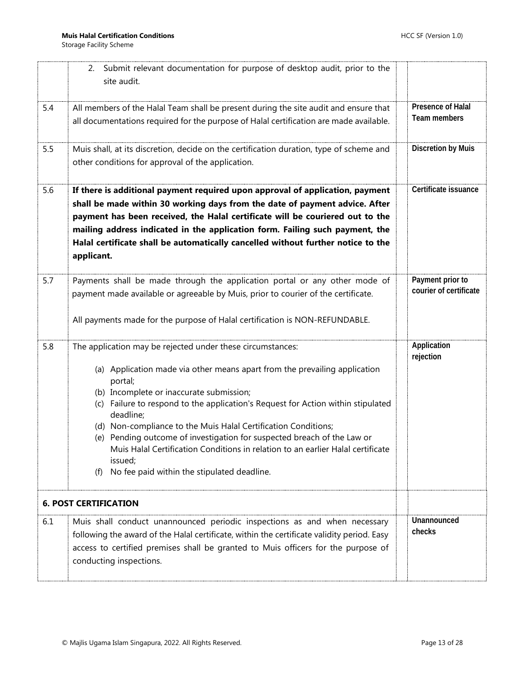<span id="page-12-0"></span>

|     | Submit relevant documentation for purpose of desktop audit, prior to the<br>2.<br>site audit.                                                                                                                                                                                                                                                                                                                                                                                                                                                                                                     |                                            |
|-----|---------------------------------------------------------------------------------------------------------------------------------------------------------------------------------------------------------------------------------------------------------------------------------------------------------------------------------------------------------------------------------------------------------------------------------------------------------------------------------------------------------------------------------------------------------------------------------------------------|--------------------------------------------|
| 5.4 | All members of the Halal Team shall be present during the site audit and ensure that<br>all documentations required for the purpose of Halal certification are made available.                                                                                                                                                                                                                                                                                                                                                                                                                    | <b>Presence of Halal</b><br>Team members   |
| 5.5 | Muis shall, at its discretion, decide on the certification duration, type of scheme and<br>other conditions for approval of the application.                                                                                                                                                                                                                                                                                                                                                                                                                                                      | <b>Discretion by Muis</b>                  |
| 5.6 | If there is additional payment required upon approval of application, payment<br>shall be made within 30 working days from the date of payment advice. After<br>payment has been received, the Halal certificate will be couriered out to the<br>mailing address indicated in the application form. Failing such payment, the<br>Halal certificate shall be automatically cancelled without further notice to the<br>applicant.                                                                                                                                                                   | Certificate issuance                       |
| 5.7 | Payments shall be made through the application portal or any other mode of<br>payment made available or agreeable by Muis, prior to courier of the certificate.<br>All payments made for the purpose of Halal certification is NON-REFUNDABLE.                                                                                                                                                                                                                                                                                                                                                    | Payment prior to<br>courier of certificate |
| 5.8 | The application may be rejected under these circumstances:<br>(a) Application made via other means apart from the prevailing application<br>portal;<br>(b) Incomplete or inaccurate submission;<br>(c) Failure to respond to the application's Request for Action within stipulated<br>deadline;<br>(d) Non-compliance to the Muis Halal Certification Conditions;<br>(e) Pending outcome of investigation for suspected breach of the Law or<br>Muis Halal Certification Conditions in relation to an earlier Halal certificate<br>issued;<br>No fee paid within the stipulated deadline.<br>(f) | Application<br>rejection                   |
|     | <b>6. POST CERTIFICATION</b>                                                                                                                                                                                                                                                                                                                                                                                                                                                                                                                                                                      |                                            |
| 6.1 | Muis shall conduct unannounced periodic inspections as and when necessary<br>following the award of the Halal certificate, within the certificate validity period. Easy<br>access to certified premises shall be granted to Muis officers for the purpose of<br>conducting inspections.                                                                                                                                                                                                                                                                                                           | Unannounced<br>checks                      |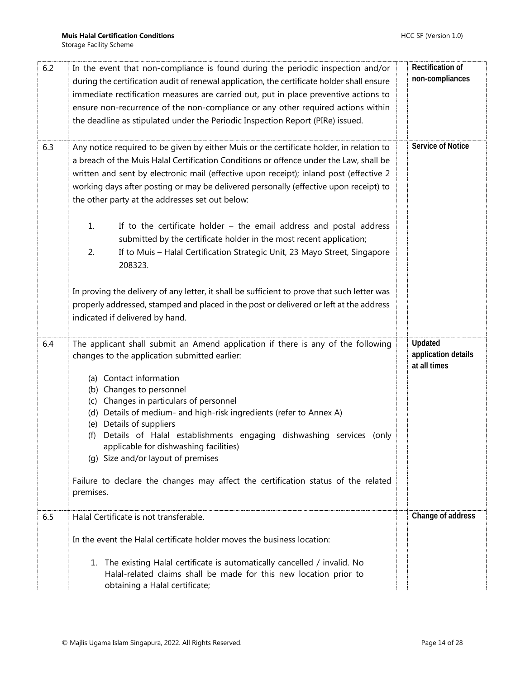| 6.2 | In the event that non-compliance is found during the periodic inspection and/or             | Rectification of         |
|-----|---------------------------------------------------------------------------------------------|--------------------------|
|     | during the certification audit of renewal application, the certificate holder shall ensure  | non-compliances          |
|     | immediate rectification measures are carried out, put in place preventive actions to        |                          |
|     | ensure non-recurrence of the non-compliance or any other required actions within            |                          |
|     |                                                                                             |                          |
|     | the deadline as stipulated under the Periodic Inspection Report (PIRe) issued.              |                          |
|     |                                                                                             |                          |
| 6.3 | Any notice required to be given by either Muis or the certificate holder, in relation to    | <b>Service of Notice</b> |
|     | a breach of the Muis Halal Certification Conditions or offence under the Law, shall be      |                          |
|     | written and sent by electronic mail (effective upon receipt); inland post (effective 2      |                          |
|     | working days after posting or may be delivered personally (effective upon receipt) to       |                          |
|     | the other party at the addresses set out below:                                             |                          |
|     |                                                                                             |                          |
|     | If to the certificate holder $-$ the email address and postal address<br>1.                 |                          |
|     | submitted by the certificate holder in the most recent application;                         |                          |
|     | 2.<br>If to Muis - Halal Certification Strategic Unit, 23 Mayo Street, Singapore            |                          |
|     |                                                                                             |                          |
|     | 208323.                                                                                     |                          |
|     |                                                                                             |                          |
|     | In proving the delivery of any letter, it shall be sufficient to prove that such letter was |                          |
|     | properly addressed, stamped and placed in the post or delivered or left at the address      |                          |
|     | indicated if delivered by hand.                                                             |                          |
|     |                                                                                             |                          |
| 6.4 | The applicant shall submit an Amend application if there is any of the following            | <b>Updated</b>           |
|     | changes to the application submitted earlier:                                               | application details      |
|     |                                                                                             | at all times             |
|     | (a) Contact information                                                                     |                          |
|     | (b) Changes to personnel                                                                    |                          |
|     | Changes in particulars of personnel<br>(c)                                                  |                          |
|     | (d) Details of medium- and high-risk ingredients (refer to Annex A)                         |                          |
|     | (e) Details of suppliers                                                                    |                          |
|     | Details of Halal establishments engaging dishwashing services (only<br>(f)                  |                          |
|     | applicable for dishwashing facilities)                                                      |                          |
|     | (g) Size and/or layout of premises                                                          |                          |
|     | Failure to declare the changes may affect the certification status of the related           |                          |
|     | premises.                                                                                   |                          |
|     |                                                                                             |                          |
| 6.5 | Halal Certificate is not transferable.                                                      | Change of address        |
|     |                                                                                             |                          |
|     | In the event the Halal certificate holder moves the business location:                      |                          |
|     |                                                                                             |                          |
|     | 1. The existing Halal certificate is automatically cancelled / invalid. No                  |                          |
|     | Halal-related claims shall be made for this new location prior to                           |                          |
|     | obtaining a Halal certificate;                                                              |                          |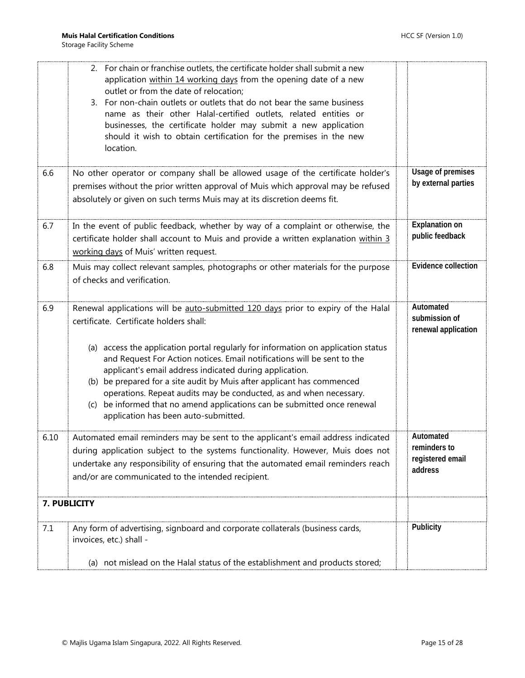<span id="page-14-0"></span>

|      | 2. For chain or franchise outlets, the certificate holder shall submit a new<br>application within 14 working days from the opening date of a new<br>outlet or from the date of relocation;<br>3. For non-chain outlets or outlets that do not bear the same business<br>name as their other Halal-certified outlets, related entities or<br>businesses, the certificate holder may submit a new application<br>should it wish to obtain certification for the premises in the new<br>location. |                                                          |
|------|-------------------------------------------------------------------------------------------------------------------------------------------------------------------------------------------------------------------------------------------------------------------------------------------------------------------------------------------------------------------------------------------------------------------------------------------------------------------------------------------------|----------------------------------------------------------|
| 6.6  | No other operator or company shall be allowed usage of the certificate holder's<br>premises without the prior written approval of Muis which approval may be refused<br>absolutely or given on such terms Muis may at its discretion deems fit.                                                                                                                                                                                                                                                 | Usage of premises<br>by external parties                 |
| 6.7  | In the event of public feedback, whether by way of a complaint or otherwise, the<br>certificate holder shall account to Muis and provide a written explanation within 3<br>working days of Muis' written request.                                                                                                                                                                                                                                                                               | <b>Explanation on</b><br>public feedback                 |
| 6.8  | Muis may collect relevant samples, photographs or other materials for the purpose<br>of checks and verification.                                                                                                                                                                                                                                                                                                                                                                                | Evidence collection                                      |
| 6.9  | Renewal applications will be auto-submitted 120 days prior to expiry of the Halal<br>certificate. Certificate holders shall:                                                                                                                                                                                                                                                                                                                                                                    | Automated<br>submission of<br>renewal application        |
|      | (a) access the application portal regularly for information on application status<br>and Request For Action notices. Email notifications will be sent to the<br>applicant's email address indicated during application.<br>(b) be prepared for a site audit by Muis after applicant has commenced<br>operations. Repeat audits may be conducted, as and when necessary.<br>be informed that no amend applications can be submitted once renewal<br>(C)<br>application has been auto-submitted.  |                                                          |
| 6.10 | Automated email reminders may be sent to the applicant's email address indicated<br>during application subject to the systems functionality. However, Muis does not<br>undertake any responsibility of ensuring that the automated email reminders reach<br>and/or are communicated to the intended recipient.                                                                                                                                                                                  | Automated<br>reminders to<br>registered email<br>address |
|      | 7. PUBLICITY                                                                                                                                                                                                                                                                                                                                                                                                                                                                                    |                                                          |
| 7.1  | Any form of advertising, signboard and corporate collaterals (business cards,<br>invoices, etc.) shall -                                                                                                                                                                                                                                                                                                                                                                                        | Publicity                                                |
|      | (a) not mislead on the Halal status of the establishment and products stored;                                                                                                                                                                                                                                                                                                                                                                                                                   |                                                          |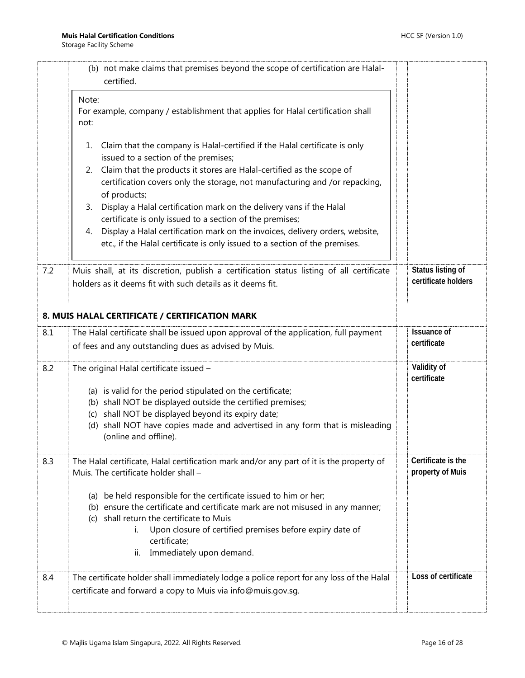<span id="page-15-0"></span>

|     | (b) not make claims that premises beyond the scope of certification are Halal-<br>certified.                                                                                                                                                                                                                         |                                          |
|-----|----------------------------------------------------------------------------------------------------------------------------------------------------------------------------------------------------------------------------------------------------------------------------------------------------------------------|------------------------------------------|
|     | Note:<br>For example, company / establishment that applies for Halal certification shall<br>not:                                                                                                                                                                                                                     |                                          |
|     | Claim that the company is Halal-certified if the Halal certificate is only<br>1.<br>issued to a section of the premises;                                                                                                                                                                                             |                                          |
|     | Claim that the products it stores are Halal-certified as the scope of<br>2.<br>certification covers only the storage, not manufacturing and /or repacking,<br>of products;                                                                                                                                           |                                          |
|     | Display a Halal certification mark on the delivery vans if the Halal<br>3.<br>certificate is only issued to a section of the premises;                                                                                                                                                                               |                                          |
|     | Display a Halal certification mark on the invoices, delivery orders, website,<br>4.<br>etc., if the Halal certificate is only issued to a section of the premises.                                                                                                                                                   |                                          |
| 7.2 | Muis shall, at its discretion, publish a certification status listing of all certificate<br>holders as it deems fit with such details as it deems fit.                                                                                                                                                               | Status listing of<br>certificate holders |
|     | 8. MUIS HALAL CERTIFICATE / CERTIFICATION MARK                                                                                                                                                                                                                                                                       |                                          |
| 8.1 | The Halal certificate shall be issued upon approval of the application, full payment<br>of fees and any outstanding dues as advised by Muis.                                                                                                                                                                         | <b>Issuance of</b><br>certificate        |
| 8.2 | The original Halal certificate issued -                                                                                                                                                                                                                                                                              | Validity of<br>certificate               |
|     | (a) is valid for the period stipulated on the certificate;<br>(b) shall NOT be displayed outside the certified premises;<br>(c) shall NOT be displayed beyond its expiry date;<br>(d) shall NOT have copies made and advertised in any form that is misleading<br>(online and offline).                              |                                          |
| 8.3 | The Halal certificate, Halal certification mark and/or any part of it is the property of<br>Muis. The certificate holder shall -                                                                                                                                                                                     | Certificate is the<br>property of Muis   |
|     | (a) be held responsible for the certificate issued to him or her;<br>(b) ensure the certificate and certificate mark are not misused in any manner;<br>(c) shall return the certificate to Muis<br>Upon closure of certified premises before expiry date of<br>i.<br>certificate;<br>Immediately upon demand.<br>ii. |                                          |
| 8.4 | The certificate holder shall immediately lodge a police report for any loss of the Halal<br>certificate and forward a copy to Muis via info@muis.gov.sg.                                                                                                                                                             | Loss of certificate                      |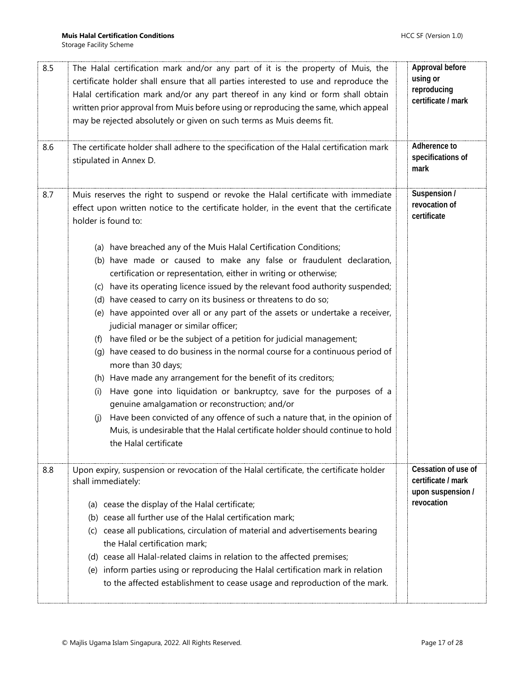| 8.5 | The Halal certification mark and/or any part of it is the property of Muis, the<br>certificate holder shall ensure that all parties interested to use and reproduce the<br>Halal certification mark and/or any part thereof in any kind or form shall obtain<br>written prior approval from Muis before using or reproducing the same, which appeal<br>may be rejected absolutely or given on such terms as Muis deems fit.                                                                                                                                                                                                                                                                                                                                                                                                                                                                                                                                                                                                                                                                                                                                                                                                                                                                        | Approval before<br>using or<br>reproducing<br>certificate / mark             |
|-----|----------------------------------------------------------------------------------------------------------------------------------------------------------------------------------------------------------------------------------------------------------------------------------------------------------------------------------------------------------------------------------------------------------------------------------------------------------------------------------------------------------------------------------------------------------------------------------------------------------------------------------------------------------------------------------------------------------------------------------------------------------------------------------------------------------------------------------------------------------------------------------------------------------------------------------------------------------------------------------------------------------------------------------------------------------------------------------------------------------------------------------------------------------------------------------------------------------------------------------------------------------------------------------------------------|------------------------------------------------------------------------------|
| 8.6 | The certificate holder shall adhere to the specification of the Halal certification mark<br>stipulated in Annex D.                                                                                                                                                                                                                                                                                                                                                                                                                                                                                                                                                                                                                                                                                                                                                                                                                                                                                                                                                                                                                                                                                                                                                                                 | Adherence to<br>specifications of<br>mark                                    |
| 8.7 | Muis reserves the right to suspend or revoke the Halal certificate with immediate<br>effect upon written notice to the certificate holder, in the event that the certificate<br>holder is found to:<br>(a) have breached any of the Muis Halal Certification Conditions;<br>(b) have made or caused to make any false or fraudulent declaration,<br>certification or representation, either in writing or otherwise;<br>(c) have its operating licence issued by the relevant food authority suspended;<br>(d) have ceased to carry on its business or threatens to do so;<br>(e) have appointed over all or any part of the assets or undertake a receiver,<br>judicial manager or similar officer;<br>have filed or be the subject of a petition for judicial management;<br>(f)<br>have ceased to do business in the normal course for a continuous period of<br>(q)<br>more than 30 days;<br>(h) Have made any arrangement for the benefit of its creditors;<br>Have gone into liquidation or bankruptcy, save for the purposes of a<br>(i)<br>genuine amalgamation or reconstruction; and/or<br>Have been convicted of any offence of such a nature that, in the opinion of<br>(i)<br>Muis, is undesirable that the Halal certificate holder should continue to hold<br>the Halal certificate | Suspension /<br>revocation of<br>certificate                                 |
| 8.8 | Upon expiry, suspension or revocation of the Halal certificate, the certificate holder<br>shall immediately:<br>(a) cease the display of the Halal certificate;<br>(b) cease all further use of the Halal certification mark;<br>(c) cease all publications, circulation of material and advertisements bearing<br>the Halal certification mark;<br>(d) cease all Halal-related claims in relation to the affected premises;<br>(e) inform parties using or reproducing the Halal certification mark in relation<br>to the affected establishment to cease usage and reproduction of the mark.                                                                                                                                                                                                                                                                                                                                                                                                                                                                                                                                                                                                                                                                                                     | Cessation of use of<br>certificate / mark<br>upon suspension /<br>revocation |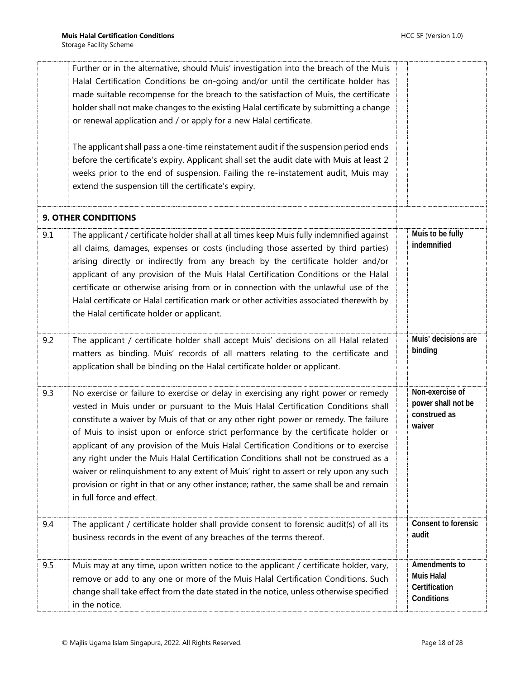<span id="page-17-0"></span>

|     | Further or in the alternative, should Muis' investigation into the breach of the Muis<br>Halal Certification Conditions be on-going and/or until the certificate holder has<br>made suitable recompense for the breach to the satisfaction of Muis, the certificate<br>holder shall not make changes to the existing Halal certificate by submitting a change<br>or renewal application and / or apply for a new Halal certificate.<br>The applicant shall pass a one-time reinstatement audit if the suspension period ends<br>before the certificate's expiry. Applicant shall set the audit date with Muis at least 2<br>weeks prior to the end of suspension. Failing the re-instatement audit, Muis may<br>extend the suspension till the certificate's expiry. |                                                                   |
|-----|----------------------------------------------------------------------------------------------------------------------------------------------------------------------------------------------------------------------------------------------------------------------------------------------------------------------------------------------------------------------------------------------------------------------------------------------------------------------------------------------------------------------------------------------------------------------------------------------------------------------------------------------------------------------------------------------------------------------------------------------------------------------|-------------------------------------------------------------------|
|     |                                                                                                                                                                                                                                                                                                                                                                                                                                                                                                                                                                                                                                                                                                                                                                      |                                                                   |
|     | <b>9. OTHER CONDITIONS</b>                                                                                                                                                                                                                                                                                                                                                                                                                                                                                                                                                                                                                                                                                                                                           |                                                                   |
| 9.1 | The applicant / certificate holder shall at all times keep Muis fully indemnified against<br>all claims, damages, expenses or costs (including those asserted by third parties)<br>arising directly or indirectly from any breach by the certificate holder and/or<br>applicant of any provision of the Muis Halal Certification Conditions or the Halal<br>certificate or otherwise arising from or in connection with the unlawful use of the<br>Halal certificate or Halal certification mark or other activities associated therewith by<br>the Halal certificate holder or applicant.                                                                                                                                                                           | Muis to be fully<br>indemnified                                   |
| 9.2 | The applicant / certificate holder shall accept Muis' decisions on all Halal related<br>matters as binding. Muis' records of all matters relating to the certificate and<br>application shall be binding on the Halal certificate holder or applicant.                                                                                                                                                                                                                                                                                                                                                                                                                                                                                                               | Muis' decisions are<br>binding                                    |
| 9.3 | No exercise or failure to exercise or delay in exercising any right power or remedy<br>vested in Muis under or pursuant to the Muis Halal Certification Conditions shall<br>constitute a waiver by Muis of that or any other right power or remedy. The failure<br>of Muis to insist upon or enforce strict performance by the certificate holder or<br>applicant of any provision of the Muis Halal Certification Conditions or to exercise<br>any right under the Muis Halal Certification Conditions shall not be construed as a<br>waiver or relinquishment to any extent of Muis' right to assert or rely upon any such<br>provision or right in that or any other instance; rather, the same shall be and remain<br>in full force and effect.                  | Non-exercise of<br>power shall not be<br>construed as<br>waiver   |
| 9.4 | The applicant / certificate holder shall provide consent to forensic audit(s) of all its<br>business records in the event of any breaches of the terms thereof.                                                                                                                                                                                                                                                                                                                                                                                                                                                                                                                                                                                                      | Consent to forensic<br>audit                                      |
| 9.5 | Muis may at any time, upon written notice to the applicant / certificate holder, vary,<br>remove or add to any one or more of the Muis Halal Certification Conditions. Such<br>change shall take effect from the date stated in the notice, unless otherwise specified<br>in the notice.                                                                                                                                                                                                                                                                                                                                                                                                                                                                             | Amendments to<br><b>Muis Halal</b><br>Certification<br>Conditions |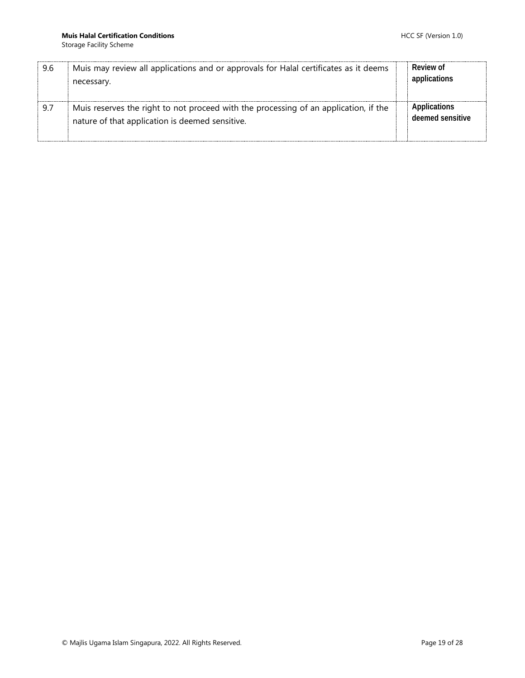| 9.6 | Muis may review all applications and or approvals for Halal certificates as it deems<br>necessary.                                      | Review of<br>applications        |
|-----|-----------------------------------------------------------------------------------------------------------------------------------------|----------------------------------|
| 9.7 | Muis reserves the right to not proceed with the processing of an application, if the<br>nature of that application is deemed sensitive. | Applications<br>deemed sensitive |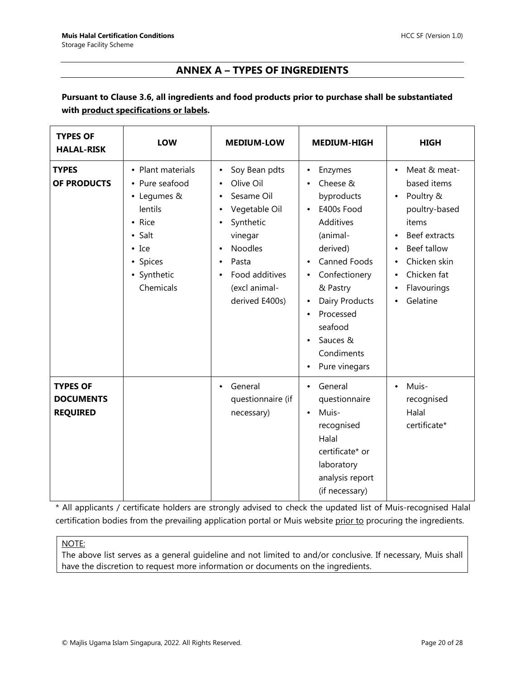## **ANNEX A – TYPES OF INGREDIENTS**

### <span id="page-19-0"></span>**Pursuant to Clause 3.6, all ingredients and food products prior to purchase shall be substantiated with product specifications or labels.**

| <b>TYPES OF</b><br><b>HALAL-RISK</b>                   | LOW                                                                                                                                        | <b>MEDIUM-LOW</b>                                                                                                                                                              | <b>MEDIUM-HIGH</b>                                                                                                                                                                                                                                                                  | <b>HIGH</b>                                                                                                                                                                                 |
|--------------------------------------------------------|--------------------------------------------------------------------------------------------------------------------------------------------|--------------------------------------------------------------------------------------------------------------------------------------------------------------------------------|-------------------------------------------------------------------------------------------------------------------------------------------------------------------------------------------------------------------------------------------------------------------------------------|---------------------------------------------------------------------------------------------------------------------------------------------------------------------------------------------|
| <b>TYPES</b><br>OF PRODUCTS                            | • Plant materials<br>• Pure seafood<br>• Legumes &<br>lentils<br>• Rice<br>• Salt<br>$\bullet$ Ice<br>• Spices<br>• Synthetic<br>Chemicals | Soy Bean pdts<br>Olive Oil<br>Sesame Oil<br>Vegetable Oil<br>Synthetic<br>vinegar<br><b>Noodles</b><br>$\bullet$<br>Pasta<br>Food additives<br>(excl animal-<br>derived E400s) | Enzymes<br>٠<br>Cheese &<br>byproducts<br>E400s Food<br>$\bullet$<br><b>Additives</b><br>(animal-<br>derived)<br>Canned Foods<br>$\bullet$<br>Confectionery<br>٠<br>& Pastry<br>Dairy Products<br>Processed<br>$\bullet$<br>seafood<br>Sauces &<br>Condiments<br>Pure vinegars<br>٠ | Meat & meat-<br>$\bullet$<br>based items<br>Poultry &<br>poultry-based<br>items<br>Beef extracts<br>Beef tallow<br>$\bullet$<br>Chicken skin<br>Chicken fat<br>Flavourings<br>٠<br>Gelatine |
| <b>TYPES OF</b><br><b>DOCUMENTS</b><br><b>REQUIRED</b> |                                                                                                                                            | General<br>questionnaire (if<br>necessary)                                                                                                                                     | General<br>$\bullet$<br>questionnaire<br>Muis-<br>$\bullet$<br>recognised<br>Halal<br>certificate* or<br>laboratory<br>analysis report<br>(if necessary)                                                                                                                            | Muis-<br>recognised<br>Halal<br>certificate*                                                                                                                                                |

\* All applicants / certificate holders are strongly advised to check the updated list of Muis-recognised Halal certification bodies from the prevailing application portal or Muis website prior to procuring the ingredients.

#### NOTE:

The above list serves as a general guideline and not limited to and/or conclusive. If necessary, Muis shall have the discretion to request more information or documents on the ingredients.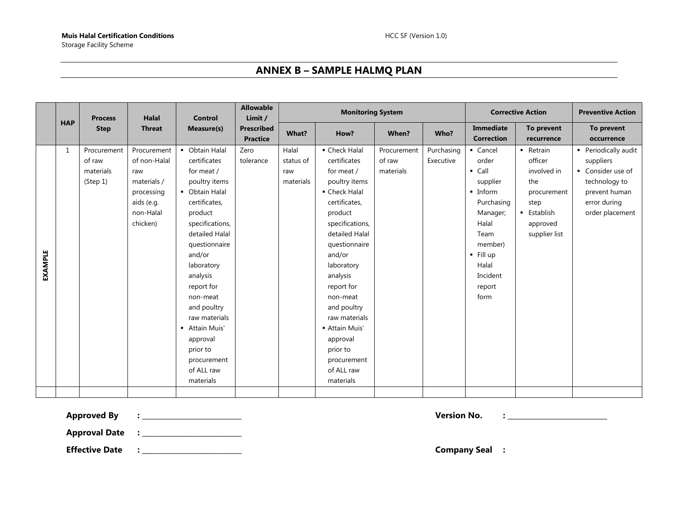## **ANNEX B – SAMPLE HALMQ PLAN**

<span id="page-20-0"></span>

|                |            | <b>Process</b>                                 | Halal                                                                                                  | <b>Control</b>                                                                                                                                                                                                                                                                                                                                      | <b>Allowable</b><br>Limit /          | <b>Monitoring System</b>               |                                                                                                                                                                                                                                                                                                                                                   |                                    | <b>Corrective Action</b> | <b>Preventive Action</b>                                                                                                                                                     |                                                                                                               |                                                                                                                             |
|----------------|------------|------------------------------------------------|--------------------------------------------------------------------------------------------------------|-----------------------------------------------------------------------------------------------------------------------------------------------------------------------------------------------------------------------------------------------------------------------------------------------------------------------------------------------------|--------------------------------------|----------------------------------------|---------------------------------------------------------------------------------------------------------------------------------------------------------------------------------------------------------------------------------------------------------------------------------------------------------------------------------------------------|------------------------------------|--------------------------|------------------------------------------------------------------------------------------------------------------------------------------------------------------------------|---------------------------------------------------------------------------------------------------------------|-----------------------------------------------------------------------------------------------------------------------------|
|                | <b>HAP</b> | <b>Step</b>                                    | <b>Threat</b>                                                                                          | Measure(s)                                                                                                                                                                                                                                                                                                                                          | <b>Prescribed</b><br><b>Practice</b> | What?                                  | How?                                                                                                                                                                                                                                                                                                                                              | When?                              | Who?                     | Immediate<br><b>Correction</b>                                                                                                                                               | To prevent<br>recurrence                                                                                      | To prevent<br>occurrence                                                                                                    |
| <b>EXAMPLE</b> | 1          | Procurement<br>of raw<br>materials<br>(Step 1) | Procurement<br>of non-Halal<br>raw<br>materials /<br>processing<br>aids (e.g.<br>non-Halal<br>chicken) | • Obtain Halal<br>certificates<br>for meat /<br>poultry items<br>• Obtain Halal<br>certificates,<br>product<br>specifications,<br>detailed Halal<br>questionnaire<br>and/or<br>laboratory<br>analysis<br>report for<br>non-meat<br>and poultry<br>raw materials<br>- Attain Muis'<br>approval<br>prior to<br>procurement<br>of ALL raw<br>materials | Zero<br>tolerance                    | Halal<br>status of<br>raw<br>materials | • Check Halal<br>certificates<br>for meat /<br>poultry items<br>• Check Halal<br>certificates,<br>product<br>specifications,<br>detailed Halal<br>questionnaire<br>and/or<br>laboratory<br>analysis<br>report for<br>non-meat<br>and poultry<br>raw materials<br>- Attain Muis'<br>approval<br>prior to<br>procurement<br>of ALL raw<br>materials | Procurement<br>of raw<br>materials | Purchasing<br>Executive  | • Cancel<br>order<br>$\blacksquare$ Call<br>supplier<br>• Inform<br>Purchasing<br>Manager;<br>Halal<br>Team<br>member)<br>$-$ Fill up<br>Halal<br>Incident<br>report<br>form | - Retrain<br>officer<br>involved in<br>the<br>procurement<br>step<br>• Establish<br>approved<br>supplier list | • Periodically audit<br>suppliers<br>• Consider use of<br>technology to<br>prevent human<br>error during<br>order placement |
|                |            |                                                |                                                                                                        |                                                                                                                                                                                                                                                                                                                                                     |                                      |                                        |                                                                                                                                                                                                                                                                                                                                                   |                                    |                          |                                                                                                                                                                              |                                                                                                               |                                                                                                                             |

**Approved By : \_\_\_\_\_\_\_\_\_\_\_\_\_\_\_\_\_\_\_\_\_\_\_\_\_\_\_\_ Version No. : \_\_\_\_\_\_\_\_\_\_\_\_\_\_\_\_\_\_\_\_\_\_\_\_\_\_\_\_**

**Approval Date : \_\_\_\_\_\_\_\_\_\_\_\_\_\_\_\_\_\_\_\_\_\_\_\_\_\_\_\_**

**Effective Date : \_\_\_\_\_\_\_\_\_\_\_\_\_\_\_\_\_\_\_\_\_\_\_\_\_\_\_\_ Company Seal :**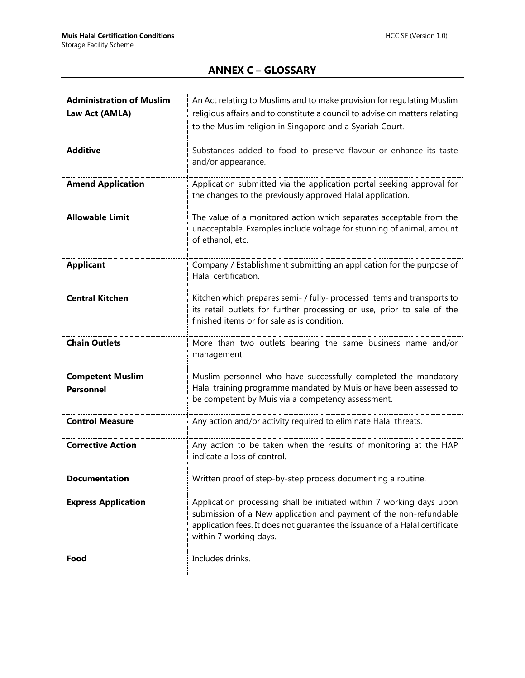# **ANNEX C – GLOSSARY**

<span id="page-21-0"></span>

| <b>Administration of Muslim</b> | An Act relating to Muslims and to make provision for regulating Muslim                                                  |
|---------------------------------|-------------------------------------------------------------------------------------------------------------------------|
| Law Act (AMLA)                  | religious affairs and to constitute a council to advise on matters relating                                             |
|                                 | to the Muslim religion in Singapore and a Syariah Court.                                                                |
| <b>Additive</b>                 |                                                                                                                         |
|                                 | Substances added to food to preserve flavour or enhance its taste<br>and/or appearance.                                 |
|                                 |                                                                                                                         |
| <b>Amend Application</b>        | Application submitted via the application portal seeking approval for                                                   |
|                                 | the changes to the previously approved Halal application.                                                               |
| <b>Allowable Limit</b>          | The value of a monitored action which separates acceptable from the                                                     |
|                                 | unacceptable. Examples include voltage for stunning of animal, amount                                                   |
|                                 | of ethanol, etc.                                                                                                        |
|                                 |                                                                                                                         |
| <b>Applicant</b>                | Company / Establishment submitting an application for the purpose of                                                    |
|                                 | Halal certification.                                                                                                    |
| <b>Central Kitchen</b>          | Kitchen which prepares semi- / fully- processed items and transports to                                                 |
|                                 | its retail outlets for further processing or use, prior to sale of the                                                  |
|                                 | finished items or for sale as is condition.                                                                             |
| <b>Chain Outlets</b>            | More than two outlets bearing the same business name and/or                                                             |
|                                 | management.                                                                                                             |
|                                 |                                                                                                                         |
| <b>Competent Muslim</b>         | Muslim personnel who have successfully completed the mandatory                                                          |
| <b>Personnel</b>                | Halal training programme mandated by Muis or have been assessed to<br>be competent by Muis via a competency assessment. |
|                                 |                                                                                                                         |
| <b>Control Measure</b>          | Any action and/or activity required to eliminate Halal threats.                                                         |
|                                 |                                                                                                                         |
| <b>Corrective Action</b>        | Any action to be taken when the results of monitoring at the HAP                                                        |
|                                 | indicate a loss of control.                                                                                             |
| Documentation                   | Written proof of step-by-step process documenting a routine.                                                            |
|                                 |                                                                                                                         |
| <b>Express Application</b>      | Application processing shall be initiated within 7 working days upon                                                    |
|                                 | submission of a New application and payment of the non-refundable                                                       |
|                                 | application fees. It does not guarantee the issuance of a Halal certificate<br>within 7 working days.                   |
|                                 |                                                                                                                         |
| Food                            | Includes drinks.                                                                                                        |
|                                 |                                                                                                                         |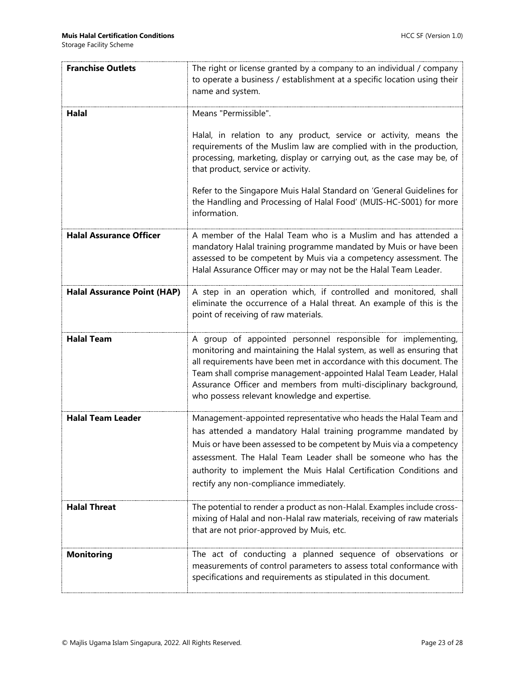| <b>Franchise Outlets</b>           | The right or license granted by a company to an individual / company<br>to operate a business / establishment at a specific location using their<br>name and system.                                                                                                                                                                                                                                     |
|------------------------------------|----------------------------------------------------------------------------------------------------------------------------------------------------------------------------------------------------------------------------------------------------------------------------------------------------------------------------------------------------------------------------------------------------------|
| Halal                              | Means "Permissible".                                                                                                                                                                                                                                                                                                                                                                                     |
|                                    | Halal, in relation to any product, service or activity, means the<br>requirements of the Muslim law are complied with in the production,<br>processing, marketing, display or carrying out, as the case may be, of<br>that product, service or activity.                                                                                                                                                 |
|                                    | Refer to the Singapore Muis Halal Standard on 'General Guidelines for<br>the Handling and Processing of Halal Food' (MUIS-HC-S001) for more<br>information.                                                                                                                                                                                                                                              |
| <b>Halal Assurance Officer</b>     | A member of the Halal Team who is a Muslim and has attended a<br>mandatory Halal training programme mandated by Muis or have been<br>assessed to be competent by Muis via a competency assessment. The<br>Halal Assurance Officer may or may not be the Halal Team Leader.                                                                                                                               |
| <b>Halal Assurance Point (HAP)</b> | A step in an operation which, if controlled and monitored, shall<br>eliminate the occurrence of a Halal threat. An example of this is the<br>point of receiving of raw materials.                                                                                                                                                                                                                        |
| <b>Halal Team</b>                  | A group of appointed personnel responsible for implementing,<br>monitoring and maintaining the Halal system, as well as ensuring that<br>all requirements have been met in accordance with this document. The<br>Team shall comprise management-appointed Halal Team Leader, Halal<br>Assurance Officer and members from multi-disciplinary background,<br>who possess relevant knowledge and expertise. |
| <b>Halal Team Leader</b>           | Management-appointed representative who heads the Halal Team and<br>has attended a mandatory Halal training programme mandated by<br>Muis or have been assessed to be competent by Muis via a competency<br>assessment. The Halal Team Leader shall be someone who has the<br>authority to implement the Muis Halal Certification Conditions and<br>rectify any non-compliance immediately.              |
| <b>Halal Threat</b>                | The potential to render a product as non-Halal. Examples include cross-<br>mixing of Halal and non-Halal raw materials, receiving of raw materials<br>that are not prior-approved by Muis, etc.                                                                                                                                                                                                          |
| <b>Monitoring</b>                  | The act of conducting a planned sequence of observations or<br>measurements of control parameters to assess total conformance with<br>specifications and requirements as stipulated in this document.                                                                                                                                                                                                    |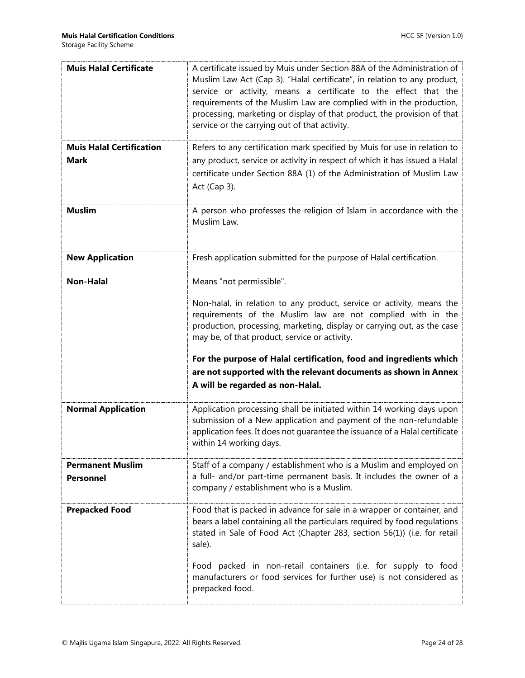| <b>Muis Halal Certificate</b>                  | A certificate issued by Muis under Section 88A of the Administration of<br>Muslim Law Act (Cap 3). "Halal certificate", in relation to any product,<br>service or activity, means a certificate to the effect that the<br>requirements of the Muslim Law are complied with in the production,<br>processing, marketing or display of that product, the provision of that<br>service or the carrying out of that activity.                                                 |
|------------------------------------------------|---------------------------------------------------------------------------------------------------------------------------------------------------------------------------------------------------------------------------------------------------------------------------------------------------------------------------------------------------------------------------------------------------------------------------------------------------------------------------|
| <b>Muis Halal Certification</b><br><b>Mark</b> | Refers to any certification mark specified by Muis for use in relation to<br>any product, service or activity in respect of which it has issued a Halal<br>certificate under Section 88A (1) of the Administration of Muslim Law<br>Act (Cap 3).                                                                                                                                                                                                                          |
| <b>Muslim</b>                                  | A person who professes the religion of Islam in accordance with the<br>Muslim Law.                                                                                                                                                                                                                                                                                                                                                                                        |
| <b>New Application</b>                         | Fresh application submitted for the purpose of Halal certification.                                                                                                                                                                                                                                                                                                                                                                                                       |
| <b>Non-Halal</b>                               | Means "not permissible".<br>Non-halal, in relation to any product, service or activity, means the<br>requirements of the Muslim law are not complied with in the<br>production, processing, marketing, display or carrying out, as the case<br>may be, of that product, service or activity.<br>For the purpose of Halal certification, food and ingredients which<br>are not supported with the relevant documents as shown in Annex<br>A will be regarded as non-Halal. |
| <b>Normal Application</b>                      | Application processing shall be initiated within 14 working days upon<br>submission of a New application and payment of the non-refundable<br>application fees. It does not quarantee the issuance of a Halal certificate<br>within 14 working days.                                                                                                                                                                                                                      |
| <b>Permanent Muslim</b><br><b>Personnel</b>    | Staff of a company / establishment who is a Muslim and employed on<br>a full- and/or part-time permanent basis. It includes the owner of a<br>company / establishment who is a Muslim.                                                                                                                                                                                                                                                                                    |
| <b>Prepacked Food</b>                          | Food that is packed in advance for sale in a wrapper or container, and<br>bears a label containing all the particulars required by food regulations<br>stated in Sale of Food Act (Chapter 283, section 56(1)) (i.e. for retail<br>sale).<br>Food packed in non-retail containers (i.e. for supply to food<br>manufacturers or food services for further use) is not considered as<br>prepacked food.                                                                     |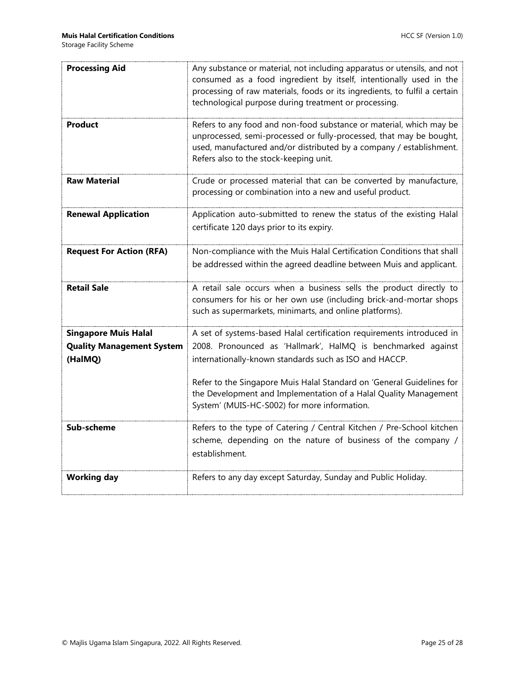| <b>Processing Aid</b>                                                      | Any substance or material, not including apparatus or utensils, and not<br>consumed as a food ingredient by itself, intentionally used in the<br>processing of raw materials, foods or its ingredients, to fulfil a certain<br>technological purpose during treatment or processing.                                                                                                         |
|----------------------------------------------------------------------------|----------------------------------------------------------------------------------------------------------------------------------------------------------------------------------------------------------------------------------------------------------------------------------------------------------------------------------------------------------------------------------------------|
| Product                                                                    | Refers to any food and non-food substance or material, which may be<br>unprocessed, semi-processed or fully-processed, that may be bought,<br>used, manufactured and/or distributed by a company / establishment.<br>Refers also to the stock-keeping unit.                                                                                                                                  |
| <b>Raw Material</b>                                                        | Crude or processed material that can be converted by manufacture,<br>processing or combination into a new and useful product.                                                                                                                                                                                                                                                                |
| <b>Renewal Application</b>                                                 | Application auto-submitted to renew the status of the existing Halal<br>certificate 120 days prior to its expiry.                                                                                                                                                                                                                                                                            |
| <b>Request For Action (RFA)</b>                                            | Non-compliance with the Muis Halal Certification Conditions that shall<br>be addressed within the agreed deadline between Muis and applicant.                                                                                                                                                                                                                                                |
| <b>Retail Sale</b>                                                         | A retail sale occurs when a business sells the product directly to<br>consumers for his or her own use (including brick-and-mortar shops<br>such as supermarkets, minimarts, and online platforms).                                                                                                                                                                                          |
| <b>Singapore Muis Halal</b><br><b>Quality Management System</b><br>(HalMQ) | A set of systems-based Halal certification requirements introduced in<br>2008. Pronounced as 'Hallmark', HalMQ is benchmarked against<br>internationally-known standards such as ISO and HACCP.<br>Refer to the Singapore Muis Halal Standard on 'General Guidelines for<br>the Development and Implementation of a Halal Quality Management<br>System' (MUIS-HC-S002) for more information. |
| Sub-scheme                                                                 | Refers to the type of Catering / Central Kitchen / Pre-School kitchen<br>scheme, depending on the nature of business of the company /<br>establishment.                                                                                                                                                                                                                                      |
| <b>Working day</b>                                                         | Refers to any day except Saturday, Sunday and Public Holiday.                                                                                                                                                                                                                                                                                                                                |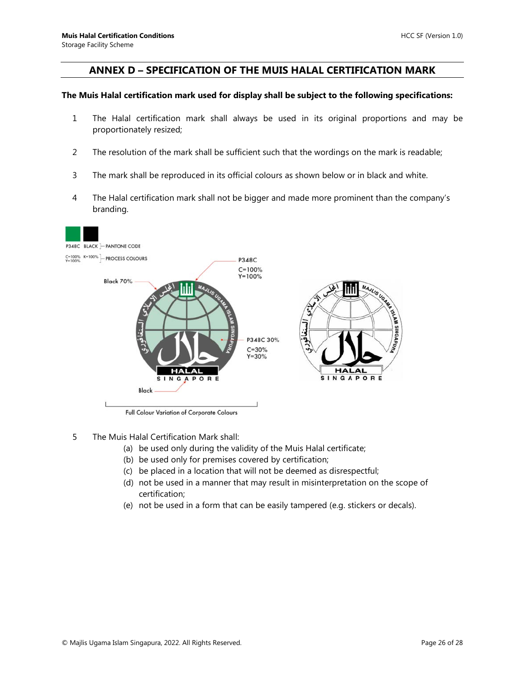#### <span id="page-25-0"></span>**ANNEX D – SPECIFICATION OF THE MUIS HALAL CERTIFICATION MARK**

#### **The Muis Halal certification mark used for display shall be subject to the following specifications:**

- 1 The Halal certification mark shall always be used in its original proportions and may be proportionately resized;
- 2 The resolution of the mark shall be sufficient such that the wordings on the mark is readable;
- 3 The mark shall be reproduced in its official colours as shown below or in black and white.
- 4 The Halal certification mark shall not be bigger and made more prominent than the company's branding.



Full Colour Variation of Corporate Colours

- 5 The Muis Halal Certification Mark shall:
	- (a) be used only during the validity of the Muis Halal certificate;
	- (b) be used only for premises covered by certification;
	- (c) be placed in a location that will not be deemed as disrespectful;
	- (d) not be used in a manner that may result in misinterpretation on the scope of certification;
	- (e) not be used in a form that can be easily tampered (e.g. stickers or decals).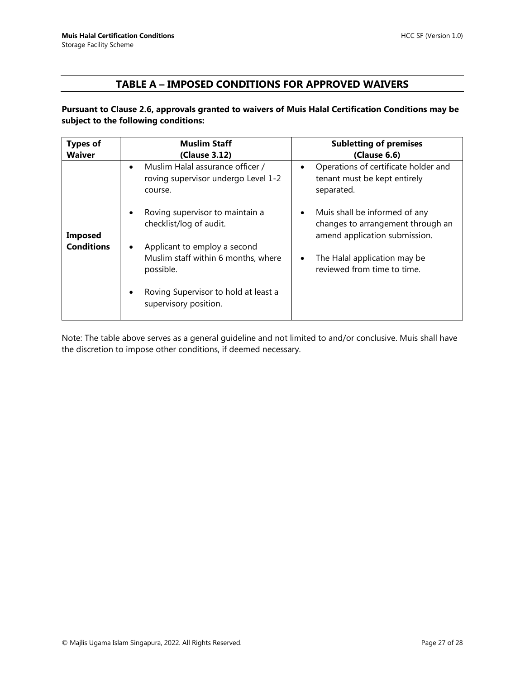#### **TABLE A – IMPOSED CONDITIONS FOR APPROVED WAIVERS**

#### <span id="page-26-0"></span>**Pursuant to Clause 2.6, approvals granted to waivers of Muis Halal Certification Conditions may be subject to the following conditions:**

| <b>Types of</b><br><b>Waiver</b> | <b>Muslim Staff</b><br>(Clause 3.12)                                                            | <b>Subletting of premises</b><br>(Clause 6.6)                                                       |
|----------------------------------|-------------------------------------------------------------------------------------------------|-----------------------------------------------------------------------------------------------------|
|                                  | Muslim Halal assurance officer /<br>$\bullet$<br>roving supervisor undergo Level 1-2<br>course. | Operations of certificate holder and<br>$\bullet$<br>tenant must be kept entirely<br>separated.     |
| <b>Imposed</b>                   | Roving supervisor to maintain a<br>checklist/log of audit.                                      | Muis shall be informed of any<br>changes to arrangement through an<br>amend application submission. |
| <b>Conditions</b>                | Applicant to employ a second<br>Muslim staff within 6 months, where<br>possible.                | The Halal application may be<br>$\bullet$<br>reviewed from time to time.                            |
|                                  | Roving Supervisor to hold at least a<br>supervisory position.                                   |                                                                                                     |

Note: The table above serves as a general guideline and not limited to and/or conclusive. Muis shall have the discretion to impose other conditions, if deemed necessary.